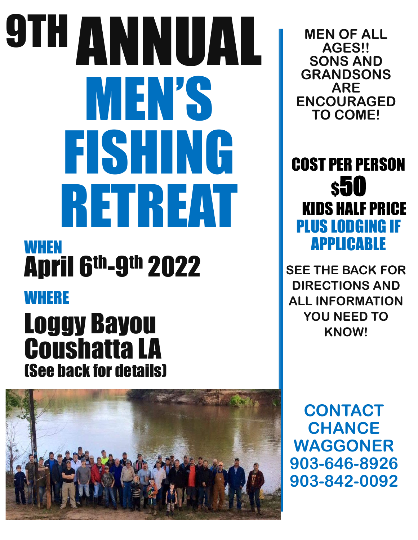# 9TH ANNUAL MEN'S FISHING RETREAT **WHEN** April 6th-9th 2022 WHERE

## Loggy Bayou Coushatta LA (See back for details)



**MEN OF ALL AGES!! SONS AND GRANDSONS ARE ENCOURAGED TO COME!**

COST PER PERSON \$50 KIDS HALF PRICE PLUS LODGING IF APPLICABLE

**SEE THE BACK FOR DIRECTIONS AND ALL INFORMATION YOU NEED TO KNOW!**

**CONTACT CHANCE WAGGONER 903-646-8926 903-842-0092**